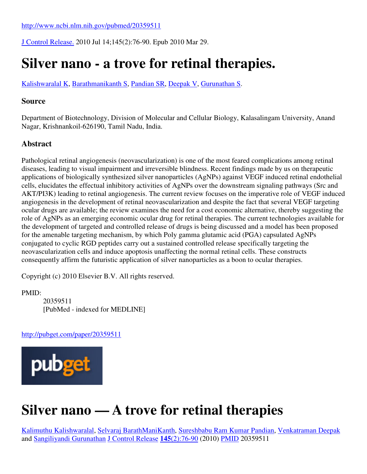J Control Release. 2010 Jul 14;145(2):76-90. Epub 2010 Mar 29.

## **Silver nano - a trove for retinal therapies.**

Kalishwaralal K, Barathmanikanth S, Pandian SR, Deepak V, Gurunathan S.

## **Source**

Department of Biotechnology, Division of Molecular and Cellular Biology, Kalasalingam University, Anand Nagar, Krishnankoil-626190, Tamil Nadu, India.

## **Abstract**

Pathological retinal angiogenesis (neovascularization) is one of the most feared complications among retinal diseases, leading to visual impairment and irreversible blindness. Recent findings made by us on therapeutic applications of biologically synthesized silver nanoparticles (AgNPs) against VEGF induced retinal endothelial cells, elucidates the effectual inhibitory activities of AgNPs over the downstream signaling pathways (Src and AKT/PI3K) leading to retinal angiogenesis. The current review focuses on the imperative role of VEGF induced angiogenesis in the development of retinal neovascularization and despite the fact that several VEGF targeting ocular drugs are available; the review examines the need for a cost economic alternative, thereby suggesting the role of AgNPs as an emerging economic ocular drug for retinal therapies. The current technologies available for the development of targeted and controlled release of drugs is being discussed and a model has been proposed for the amenable targeting mechanism, by which Poly gamma glutamic acid (PGA) capsulated AgNPs conjugated to cyclic RGD peptides carry out a sustained controlled release specifically targeting the neovascularization cells and induce apoptosis unaffecting the normal retinal cells. These constructs consequently affirm the futuristic application of silver nanoparticles as a boon to ocular therapies.

Copyright (c) 2010 Elsevier B.V. All rights reserved.

PMID:

20359511 [PubMed - indexed for MEDLINE]

http://pubget.com/paper/20359511



## **Silver nano — A trove for retinal therapies**

Kalimuthu Kalishwaralal, Selvaraj BarathManiKanth, Sureshbabu Ram Kumar Pandian, Venkatraman Deepak and Sangiliyandi Gurunathan J Control Release **145**(2):76-90 (2010) PMID 20359511